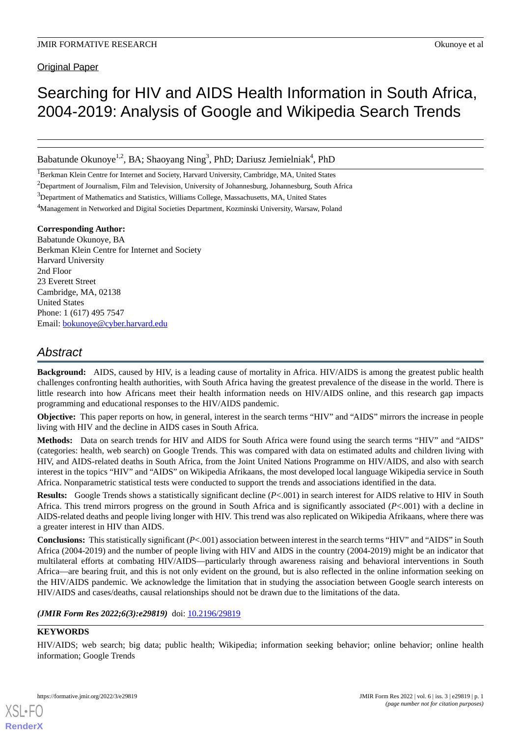Original Paper

# Searching for HIV and AIDS Health Information in South Africa, 2004-2019: Analysis of Google and Wikipedia Search Trends

Babatunde Okunoye<sup>1,2</sup>, BA; Shaoyang Ning<sup>3</sup>, PhD; Dariusz Jemielniak<sup>4</sup>, PhD

<sup>1</sup>Berkman Klein Centre for Internet and Society, Harvard University, Cambridge, MA, United States

<sup>2</sup>Department of Journalism, Film and Television, University of Johannesburg, Johannesburg, South Africa

<sup>3</sup>Department of Mathematics and Statistics, Williams College, Massachusetts, MA, United States

<sup>4</sup>Management in Networked and Digital Societies Department, Kozminski University, Warsaw, Poland

#### **Corresponding Author:**

Babatunde Okunoye, BA Berkman Klein Centre for Internet and Society Harvard University 2nd Floor 23 Everett Street Cambridge, MA, 02138 United States Phone: 1 (617) 495 7547 Email: [bokunoye@cyber.harvard.edu](mailto:bokunoye@cyber.harvard.edu)

# *Abstract*

**Background:** AIDS, caused by HIV, is a leading cause of mortality in Africa. HIV/AIDS is among the greatest public health challenges confronting health authorities, with South Africa having the greatest prevalence of the disease in the world. There is little research into how Africans meet their health information needs on HIV/AIDS online, and this research gap impacts programming and educational responses to the HIV/AIDS pandemic.

**Objective:** This paper reports on how, in general, interest in the search terms "HIV" and "AIDS" mirrors the increase in people living with HIV and the decline in AIDS cases in South Africa.

**Methods:** Data on search trends for HIV and AIDS for South Africa were found using the search terms "HIV" and "AIDS" (categories: health, web search) on Google Trends. This was compared with data on estimated adults and children living with HIV, and AIDS-related deaths in South Africa, from the Joint United Nations Programme on HIV/AIDS, and also with search interest in the topics "HIV" and "AIDS" on Wikipedia Afrikaans, the most developed local language Wikipedia service in South Africa. Nonparametric statistical tests were conducted to support the trends and associations identified in the data.

**Results:** Google Trends shows a statistically significant decline (*P*<.001) in search interest for AIDS relative to HIV in South Africa. This trend mirrors progress on the ground in South Africa and is significantly associated (*P*<.001) with a decline in AIDS-related deaths and people living longer with HIV. This trend was also replicated on Wikipedia Afrikaans, where there was a greater interest in HIV than AIDS.

**Conclusions:** This statistically significant (*P*<.001) association between interest in the search terms "HIV" and "AIDS" in South Africa (2004-2019) and the number of people living with HIV and AIDS in the country (2004-2019) might be an indicator that multilateral efforts at combating HIV/AIDS—particularly through awareness raising and behavioral interventions in South Africa—are bearing fruit, and this is not only evident on the ground, but is also reflected in the online information seeking on the HIV/AIDS pandemic. We acknowledge the limitation that in studying the association between Google search interests on HIV/AIDS and cases/deaths, causal relationships should not be drawn due to the limitations of the data.

(JMIR Form Res 2022;6(3):e29819) doi: [10.2196/29819](http://dx.doi.org/10.2196/29819)

#### **KEYWORDS**

[XSL](http://www.w3.org/Style/XSL)•FO **[RenderX](http://www.renderx.com/)**

HIV/AIDS; web search; big data; public health; Wikipedia; information seeking behavior; online behavior; online health information; Google Trends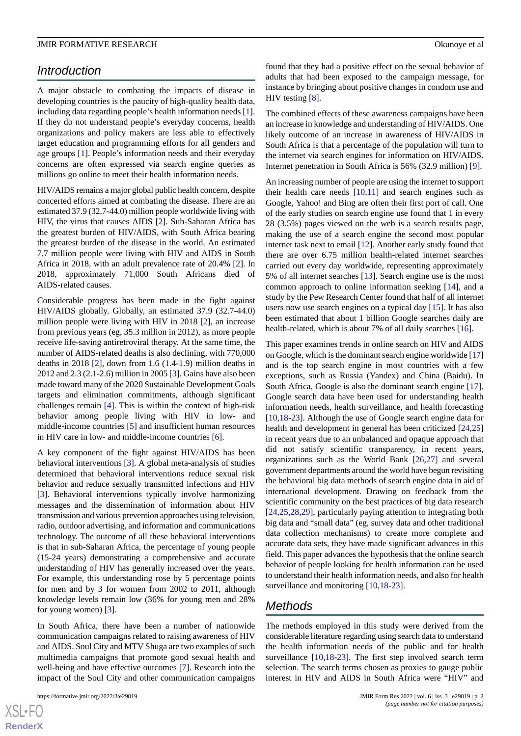# *Introduction*

A major obstacle to combating the impacts of disease in developing countries is the paucity of high-quality health data, including data regarding people's health information needs [[1\]](#page-5-0). If they do not understand people's everyday concerns, health organizations and policy makers are less able to effectively target education and programming efforts for all genders and age groups [\[1](#page-5-0)]. People's information needs and their everyday concerns are often expressed via search engine queries as millions go online to meet their health information needs.

HIV/AIDS remains a major global public health concern, despite concerted efforts aimed at combating the disease. There are an estimated 37.9 (32.7-44.0) million people worldwide living with HIV, the virus that causes AIDS [\[2](#page-5-1)]. Sub-Saharan Africa has the greatest burden of HIV/AIDS, with South Africa bearing the greatest burden of the disease in the world. An estimated 7.7 million people were living with HIV and AIDS in South Africa in 2018, with an adult prevalence rate of 20.4% [[2\]](#page-5-1). In 2018, approximately 71,000 South Africans died of AIDS-related causes.

Considerable progress has been made in the fight against HIV/AIDS globally. Globally, an estimated 37.9 (32.7-44.0) million people were living with HIV in 2018 [\[2](#page-5-1)], an increase from previous years (eg, 35.3 million in 2012), as more people receive life-saving antiretroviral therapy. At the same time, the number of AIDS-related deaths is also declining, with 770,000 deaths in 2018  $[2]$  $[2]$ , down from 1.6 (1.4-1.9) million deaths in 2012 and 2.3 (2.1-2.6) million in 2005 [[3\]](#page-5-2). Gains have also been made toward many of the 2020 Sustainable Development Goals targets and elimination commitments, although significant challenges remain [\[4](#page-5-3)]. This is within the context of high-risk behavior among people living with HIV in low- and middle-income countries [\[5](#page-5-4)] and insufficient human resources in HIV care in low- and middle-income countries [[6\]](#page-5-5).

A key component of the fight against HIV/AIDS has been behavioral interventions [[3\]](#page-5-2). A global meta-analysis of studies determined that behavioral interventions reduce sexual risk behavior and reduce sexually transmitted infections and HIV [[3\]](#page-5-2). Behavioral interventions typically involve harmonizing messages and the dissemination of information about HIV transmission and various prevention approaches using television, radio, outdoor advertising, and information and communications technology. The outcome of all these behavioral interventions is that in sub-Saharan Africa, the percentage of young people (15-24 years) demonstrating a comprehensive and accurate understanding of HIV has generally increased over the years. For example, this understanding rose by 5 percentage points for men and by 3 for women from 2002 to 2011, although knowledge levels remain low (36% for young men and 28% for young women) [[3\]](#page-5-2).

In South Africa, there have been a number of nationwide communication campaigns related to raising awareness of HIV and AIDS. Soul City and MTV Shuga are two examples of such multimedia campaigns that promote good sexual health and well-being and have effective outcomes [\[7](#page-5-6)]. Research into the impact of the Soul City and other communication campaigns

found that they had a positive effect on the sexual behavior of adults that had been exposed to the campaign message, for instance by bringing about positive changes in condom use and HIV testing [\[8](#page-5-7)].

The combined effects of these awareness campaigns have been an increase in knowledge and understanding of HIV/AIDS. One likely outcome of an increase in awareness of HIV/AIDS in South Africa is that a percentage of the population will turn to the internet via search engines for information on HIV/AIDS. Internet penetration in South Africa is 56% (32.9 million) [\[9](#page-5-8)].

An increasing number of people are using the internet to support their health care needs  $[10,11]$  $[10,11]$  $[10,11]$  and search engines such as Google, Yahoo! and Bing are often their first port of call. One of the early studies on search engine use found that 1 in every 28 (3.5%) pages viewed on the web is a search results page, making the use of a search engine the second most popular internet task next to email [\[12](#page-5-11)]. Another early study found that there are over 6.75 million health-related internet searches carried out every day worldwide, representing approximately 5% of all internet searches [[13\]](#page-5-12). Search engine use is the most common approach to online information seeking [[14\]](#page-5-13), and a study by the Pew Research Center found that half of all internet users now use search engines on a typical day [[15\]](#page-6-0). It has also been estimated that about 1 billion Google searches daily are health-related, which is about 7% of all daily searches [[16\]](#page-6-1).

This paper examines trends in online search on HIV and AIDS on Google, which is the dominant search engine worldwide [[17](#page-6-2)] and is the top search engine in most countries with a few exceptions, such as Russia (Yandex) and China (Baidu). In South Africa, Google is also the dominant search engine [[17\]](#page-6-2). Google search data have been used for understanding health information needs, health surveillance, and health forecasting [[10,](#page-5-9)[18-](#page-6-3)[23\]](#page-6-4). Although the use of Google search engine data for health and development in general has been criticized [[24](#page-6-5)[,25](#page-6-6)] in recent years due to an unbalanced and opaque approach that did not satisfy scientific transparency, in recent years, organizations such as the World Bank [[26](#page-6-7)[,27](#page-6-8)] and several government departments around the world have begun revisiting the behavioral big data methods of search engine data in aid of international development. Drawing on feedback from the scientific community on the best practices of big data research [[24,](#page-6-5)[25,](#page-6-6)[28](#page-6-9)[,29](#page-6-10)], particularly paying attention to integrating both big data and "small data" (eg, survey data and other traditional data collection mechanisms) to create more complete and accurate data sets, they have made significant advances in this field. This paper advances the hypothesis that the online search behavior of people looking for health information can be used to understand their health information needs, and also for health surveillance and monitoring [[10,](#page-5-9)[18](#page-6-3)[-23](#page-6-4)].

# *Methods*

The methods employed in this study were derived from the considerable literature regarding using search data to understand the health information needs of the public and for health surveillance [[10,](#page-5-9)[18](#page-6-3)[-23](#page-6-4)]. The first step involved search term selection. The search terms chosen as proxies to gauge public interest in HIV and AIDS in South Africa were "HIV" and

 $XS$ -FO **[RenderX](http://www.renderx.com/)**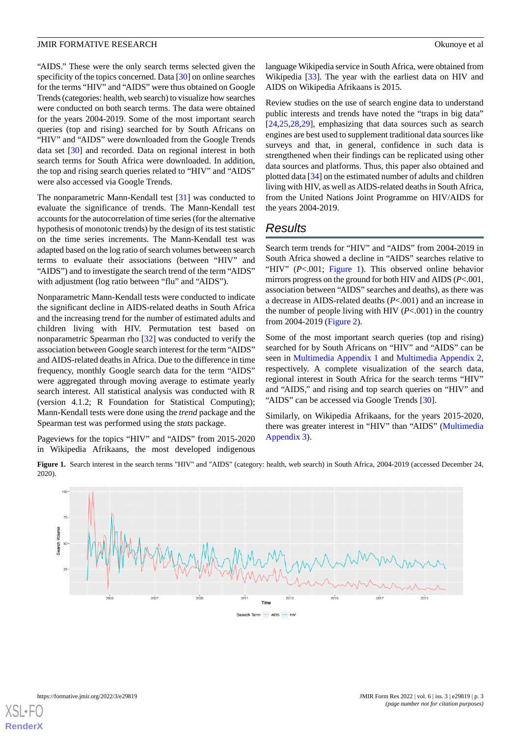"AIDS." These were the only search terms selected given the specificity of the topics concerned. Data [\[30](#page-6-11)] on online searches for the terms "HIV" and "AIDS" were thus obtained on Google Trends (categories: health, web search) to visualize how searches were conducted on both search terms. The data were obtained for the years 2004-2019. Some of the most important search queries (top and rising) searched for by South Africans on "HIV" and "AIDS" were downloaded from the Google Trends data set [[30\]](#page-6-11) and recorded. Data on regional interest in both search terms for South Africa were downloaded. In addition, the top and rising search queries related to "HIV" and "AIDS" were also accessed via Google Trends.

The nonparametric Mann-Kendall test [\[31](#page-6-12)] was conducted to evaluate the significance of trends. The Mann-Kendall test accounts for the autocorrelation of time series (for the alternative hypothesis of monotonic trends) by the design of its test statistic on the time series increments. The Mann-Kendall test was adapted based on the log ratio of search volumes between search terms to evaluate their associations (between "HIV" and "AIDS") and to investigate the search trend of the term "AIDS" with adjustment (log ratio between "flu" and "AIDS").

Nonparametric Mann-Kendall tests were conducted to indicate the significant decline in AIDS-related deaths in South Africa and the increasing trend for the number of estimated adults and children living with HIV. Permutation test based on nonparametric Spearman rho [[32\]](#page-6-13) was conducted to verify the association between Google search interest for the term "AIDS" and AIDS-related deaths in Africa. Due to the difference in time frequency, monthly Google search data for the term "AIDS" were aggregated through moving average to estimate yearly search interest. All statistical analysis was conducted with R (version 4.1.2; R Foundation for Statistical Computing); Mann-Kendall tests were done using the *trend* package and the Spearman test was performed using the *stats* package.

<span id="page-2-0"></span>Pageviews for the topics "HIV" and "AIDS" from 2015-2020 in Wikipedia Afrikaans, the most developed indigenous

language Wikipedia service in South Africa, were obtained from Wikipedia [\[33](#page-6-14)]. The year with the earliest data on HIV and AIDS on Wikipedia Afrikaans is 2015.

Review studies on the use of search engine data to understand public interests and trends have noted the "traps in big data" [[24,](#page-6-5)[25,](#page-6-6)[28](#page-6-9)[,29](#page-6-10)], emphasizing that data sources such as search engines are best used to supplement traditional data sources like surveys and that, in general, confidence in such data is strengthened when their findings can be replicated using other data sources and platforms. Thus, this paper also obtained and plotted data [[34\]](#page-6-15) on the estimated number of adults and children living with HIV, as well as AIDS-related deaths in South Africa, from the United Nations Joint Programme on HIV/AIDS for the years 2004-2019.

### *Results*

Search term trends for "HIV" and "AIDS" from 2004-2019 in South Africa showed a decline in "AIDS" searches relative to "HIV" (*P*<.001; [Figure 1](#page-2-0)). This observed online behavior mirrors progress on the ground for both HIV and AIDS (*P*<.001, association between "AIDS" searches and deaths), as there was a decrease in AIDS-related deaths (*P*<.001) and an increase in the number of people living with HIV (*P*<.001) in the country from 2004-2019 ([Figure 2](#page-3-0)).

Some of the most important search queries (top and rising) searched for by South Africans on "HIV" and "AIDS" can be seen in [Multimedia Appendix 1](#page-5-14) and [Multimedia Appendix 2](#page-5-15), respectively. A complete visualization of the search data, regional interest in South Africa for the search terms "HIV" and "AIDS," and rising and top search queries on "HIV" and "AIDS" can be accessed via Google Trends [\[30](#page-6-11)].

Similarly, on Wikipedia Afrikaans, for the years 2015-2020, there was greater interest in "HIV" than "AIDS" [\(Multimedia](#page-5-16) [Appendix 3\)](#page-5-16).

**Figure 1.** Search interest in the search terms "HIV" and "AIDS" (category: health, web search) in South Africa, 2004-2019 (accessed December 24, 2020).



[XSL](http://www.w3.org/Style/XSL)•FO **[RenderX](http://www.renderx.com/)**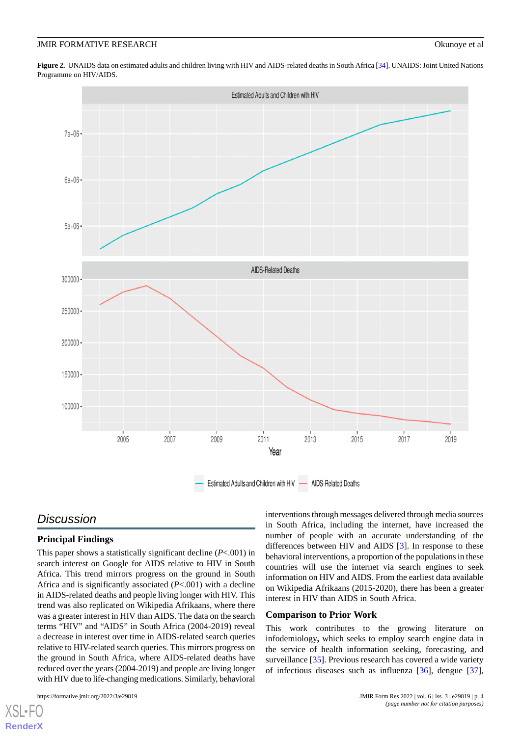<span id="page-3-0"></span>**Figure 2.** UNAIDS data on estimated adults and children living with HIV and AIDS-related deaths in South Africa [\[34\]](#page-6-15). UNAIDS: Joint United Nations Programme on HIV/AIDS.



# *Discussion*

#### **Principal Findings**

This paper shows a statistically significant decline (*P*<.001) in search interest on Google for AIDS relative to HIV in South Africa. This trend mirrors progress on the ground in South Africa and is significantly associated (*P*<.001) with a decline in AIDS-related deaths and people living longer with HIV. This trend was also replicated on Wikipedia Afrikaans, where there was a greater interest in HIV than AIDS. The data on the search terms "HIV" and "AIDS" in South Africa (2004-2019) reveal a decrease in interest over time in AIDS-related search queries relative to HIV-related search queries. This mirrors progress on the ground in South Africa, where AIDS-related deaths have reduced over the years (2004-2019) and people are living longer with HIV due to life-changing medications. Similarly, behavioral

[XSL](http://www.w3.org/Style/XSL)•FO **[RenderX](http://www.renderx.com/)**

interventions through messages delivered through media sources in South Africa, including the internet, have increased the number of people with an accurate understanding of the differences between HIV and AIDS [[3\]](#page-5-2). In response to these behavioral interventions, a proportion of the populations in these countries will use the internet via search engines to seek information on HIV and AIDS. From the earliest data available on Wikipedia Afrikaans (2015-2020), there has been a greater interest in HIV than AIDS in South Africa.

#### **Comparison to Prior Work**

This work contributes to the growing literature on infodemiology**,** which seeks to employ search engine data in the service of health information seeking, forecasting, and surveillance [\[35](#page-6-16)]. Previous research has covered a wide variety of infectious diseases such as influenza [[36\]](#page-6-17), dengue [[37\]](#page-6-18),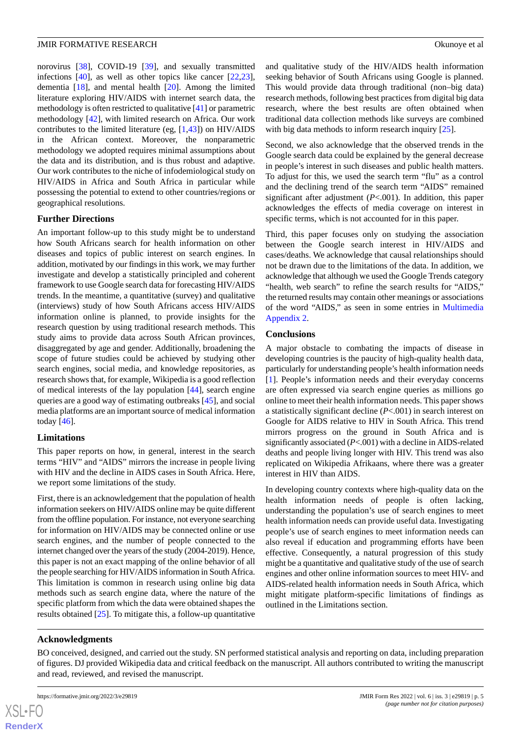norovirus [[38\]](#page-6-19), COVID-19 [\[39](#page-7-0)], and sexually transmitted infections [[40\]](#page-7-1), as well as other topics like cancer [\[22](#page-6-20),[23\]](#page-6-4), dementia [\[18](#page-6-3)], and mental health [\[20](#page-6-21)]. Among the limited literature exploring HIV/AIDS with internet search data, the methodology is often restricted to qualitative [[41\]](#page-7-2) or parametric methodology [[42\]](#page-7-3), with limited research on Africa. Our work contributes to the limited literature (eg, [[1,](#page-5-0)[43](#page-7-4)]) on HIV/AIDS in the African context. Moreover, the nonparametric methodology we adopted requires minimal assumptions about the data and its distribution, and is thus robust and adaptive. Our work contributes to the niche of infodemiological study on HIV/AIDS in Africa and South Africa in particular while possessing the potential to extend to other countries/regions or geographical resolutions.

#### **Further Directions**

An important follow-up to this study might be to understand how South Africans search for health information on other diseases and topics of public interest on search engines. In addition, motivated by our findings in this work, we may further investigate and develop a statistically principled and coherent framework to use Google search data for forecasting HIV/AIDS trends. In the meantime, a quantitative (survey) and qualitative (interviews) study of how South Africans access HIV/AIDS information online is planned, to provide insights for the research question by using traditional research methods. This study aims to provide data across South African provinces, disaggregated by age and gender. Additionally, broadening the scope of future studies could be achieved by studying other search engines, social media, and knowledge repositories, as research shows that, for example, Wikipedia is a good reflection of medical interests of the lay population [\[44](#page-7-5)], search engine queries are a good way of estimating outbreaks [[45\]](#page-7-6), and social media platforms are an important source of medical information today [[46\]](#page-7-7).

#### **Limitations**

This paper reports on how, in general, interest in the search terms "HIV" and "AIDS" mirrors the increase in people living with HIV and the decline in AIDS cases in South Africa. Here, we report some limitations of the study.

First, there is an acknowledgement that the population of health information seekers on HIV/AIDS online may be quite different from the offline population. For instance, not everyone searching for information on HIV/AIDS may be connected online or use search engines, and the number of people connected to the internet changed over the years of the study (2004-2019). Hence, this paper is not an exact mapping of the online behavior of all the people searching for HIV/AIDS information in South Africa. This limitation is common in research using online big data methods such as search engine data, where the nature of the specific platform from which the data were obtained shapes the results obtained [\[25](#page-6-6)]. To mitigate this, a follow-up quantitative

and qualitative study of the HIV/AIDS health information seeking behavior of South Africans using Google is planned. This would provide data through traditional (non–big data) research methods, following best practices from digital big data research, where the best results are often obtained when traditional data collection methods like surveys are combined with big data methods to inform research inquiry [\[25](#page-6-6)].

Second, we also acknowledge that the observed trends in the Google search data could be explained by the general decrease in people's interest in such diseases and public health matters. To adjust for this, we used the search term "flu" as a control and the declining trend of the search term "AIDS" remained significant after adjustment (*P*<.001). In addition, this paper acknowledges the effects of media coverage on interest in specific terms, which is not accounted for in this paper.

Third, this paper focuses only on studying the association between the Google search interest in HIV/AIDS and cases/deaths. We acknowledge that causal relationships should not be drawn due to the limitations of the data. In addition, we acknowledge that although we used the Google Trends category "health, web search" to refine the search results for "AIDS," the returned results may contain other meanings or associations of the word "AIDS," as seen in some entries in [Multimedia](#page-5-15) [Appendix 2.](#page-5-15)

#### **Conclusions**

A major obstacle to combating the impacts of disease in developing countries is the paucity of high-quality health data, particularly for understanding people's health information needs [[1\]](#page-5-0). People's information needs and their everyday concerns are often expressed via search engine queries as millions go online to meet their health information needs. This paper shows a statistically significant decline (*P*<.001) in search interest on Google for AIDS relative to HIV in South Africa. This trend mirrors progress on the ground in South Africa and is significantly associated (*P*<.001) with a decline in AIDS-related deaths and people living longer with HIV. This trend was also replicated on Wikipedia Afrikaans, where there was a greater interest in HIV than AIDS.

In developing country contexts where high-quality data on the health information needs of people is often lacking, understanding the population's use of search engines to meet health information needs can provide useful data. Investigating people's use of search engines to meet information needs can also reveal if education and programming efforts have been effective. Consequently, a natural progression of this study might be a quantitative and qualitative study of the use of search engines and other online information sources to meet HIV- and AIDS-related health information needs in South Africa, which might mitigate platform-specific limitations of findings as outlined in the Limitations section.

#### **Acknowledgments**

BO conceived, designed, and carried out the study. SN performed statistical analysis and reporting on data, including preparation of figures. DJ provided Wikipedia data and critical feedback on the manuscript. All authors contributed to writing the manuscript and read, reviewed, and revised the manuscript.

 $XS$  • FC **[RenderX](http://www.renderx.com/)**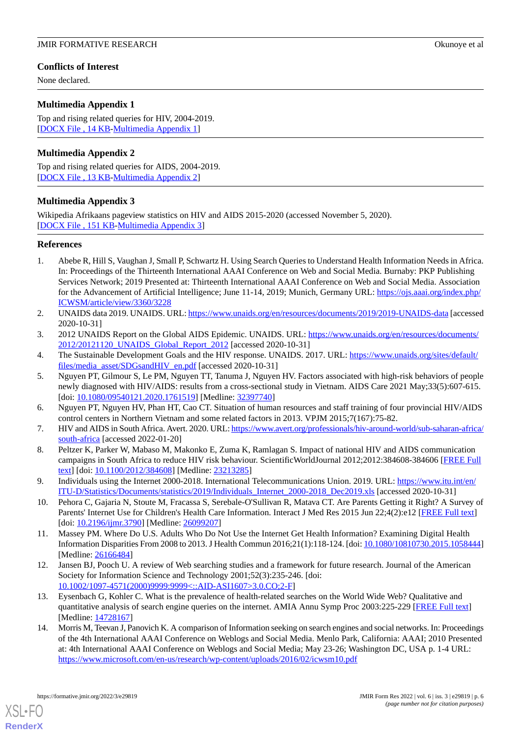#### **Conflicts of Interest**

None declared.

#### <span id="page-5-14"></span>**Multimedia Appendix 1**

Top and rising related queries for HIV, 2004-2019. [[DOCX File , 14 KB](https://jmir.org/api/download?alt_name=formative_v6i3e29819_app1.docx&filename=1be81bea57f7323d93bfe95d8053c7f5.docx)-[Multimedia Appendix 1\]](https://jmir.org/api/download?alt_name=formative_v6i3e29819_app1.docx&filename=1be81bea57f7323d93bfe95d8053c7f5.docx)

#### <span id="page-5-15"></span>**Multimedia Appendix 2**

<span id="page-5-16"></span>Top and rising related queries for AIDS, 2004-2019. [[DOCX File , 13 KB](https://jmir.org/api/download?alt_name=formative_v6i3e29819_app2.docx&filename=60552a43f6c4a56adb59dd50acbfdef4.docx)-[Multimedia Appendix 2\]](https://jmir.org/api/download?alt_name=formative_v6i3e29819_app2.docx&filename=60552a43f6c4a56adb59dd50acbfdef4.docx)

#### **Multimedia Appendix 3**

Wikipedia Afrikaans pageview statistics on HIV and AIDS 2015-2020 (accessed November 5, 2020). [[DOCX File , 151 KB-Multimedia Appendix 3\]](https://jmir.org/api/download?alt_name=formative_v6i3e29819_app3.docx&filename=5bf699ee719e38987b0fdeb1d9c8b18e.docx)

#### <span id="page-5-0"></span>**References**

- <span id="page-5-1"></span>1. Abebe R, Hill S, Vaughan J, Small P, Schwartz H. Using Search Queries to Understand Health Information Needs in Africa. In: Proceedings of the Thirteenth International AAAI Conference on Web and Social Media. Burnaby: PKP Publishing Services Network; 2019 Presented at: Thirteenth International AAAI Conference on Web and Social Media. Association for the Advancement of Artificial Intelligence; June 11-14, 2019; Munich, Germany URL: [https://ojs.aaai.org/index.php/](https://ojs.aaai.org/index.php/ICWSM/article/view/3360/3228) [ICWSM/article/view/3360/3228](https://ojs.aaai.org/index.php/ICWSM/article/view/3360/3228)
- <span id="page-5-3"></span><span id="page-5-2"></span>2. UNAIDS data 2019. UNAIDS. URL:<https://www.unaids.org/en/resources/documents/2019/2019-UNAIDS-data> [accessed 2020-10-31]
- <span id="page-5-4"></span>3. 2012 UNAIDS Report on the Global AIDS Epidemic. UNAIDS. URL: [https://www.unaids.org/en/resources/documents/](https://www.unaids.org/en/resources/documents/2012/20121120_UNAIDS_Global_Report_2012) 2012/20121120 UNAIDS Global Report 2012 [accessed 2020-10-31]
- 4. The Sustainable Development Goals and the HIV response. UNAIDS. 2017. URL: [https://www.unaids.org/sites/default/](https://www.unaids.org/sites/default/files/media_asset/SDGsandHIV_en.pdf) [files/media\\_asset/SDGsandHIV\\_en.pdf](https://www.unaids.org/sites/default/files/media_asset/SDGsandHIV_en.pdf) [accessed 2020-10-31]
- <span id="page-5-6"></span><span id="page-5-5"></span>5. Nguyen PT, Gilmour S, Le PM, Nguyen TT, Tanuma J, Nguyen HV. Factors associated with high-risk behaviors of people newly diagnosed with HIV/AIDS: results from a cross-sectional study in Vietnam. AIDS Care 2021 May;33(5):607-615. [doi: [10.1080/09540121.2020.1761519](http://dx.doi.org/10.1080/09540121.2020.1761519)] [Medline: [32397740\]](http://www.ncbi.nlm.nih.gov/entrez/query.fcgi?cmd=Retrieve&db=PubMed&list_uids=32397740&dopt=Abstract)
- <span id="page-5-7"></span>6. Nguyen PT, Nguyen HV, Phan HT, Cao CT. Situation of human resources and staff training of four provincial HIV/AIDS control centers in Northern Vietnam and some related factors in 2013. VPJM 2015;7(167):75-82.
- <span id="page-5-8"></span>7. HIV and AIDS in South Africa. Avert. 2020. URL: [https://www.avert.org/professionals/hiv-around-world/sub-saharan-africa/](https://www.avert.org/professionals/hiv-around-world/sub-saharan-africa/south-africa) [south-africa](https://www.avert.org/professionals/hiv-around-world/sub-saharan-africa/south-africa) [accessed 2022-01-20]
- <span id="page-5-9"></span>8. Peltzer K, Parker W, Mabaso M, Makonko E, Zuma K, Ramlagan S. Impact of national HIV and AIDS communication campaigns in South Africa to reduce HIV risk behaviour. ScientificWorldJournal 2012;2012:384608-384606 [[FREE Full](https://doi.org/10.1100/2012/384608) [text](https://doi.org/10.1100/2012/384608)] [doi: [10.1100/2012/384608\]](http://dx.doi.org/10.1100/2012/384608) [Medline: [23213285](http://www.ncbi.nlm.nih.gov/entrez/query.fcgi?cmd=Retrieve&db=PubMed&list_uids=23213285&dopt=Abstract)]
- <span id="page-5-10"></span>9. Individuals using the Internet 2000-2018. International Telecommunications Union. 2019. URL: [https://www.itu.int/en/](https://www.itu.int/en/ITU-D/Statistics/Documents/statistics/2019/Individuals_Internet_2000-2018_Dec2019.xls) [ITU-D/Statistics/Documents/statistics/2019/Individuals\\_Internet\\_2000-2018\\_Dec2019.xls](https://www.itu.int/en/ITU-D/Statistics/Documents/statistics/2019/Individuals_Internet_2000-2018_Dec2019.xls) [accessed 2020-10-31]
- <span id="page-5-11"></span>10. Pehora C, Gajaria N, Stoute M, Fracassa S, Serebale-O'Sullivan R, Matava CT. Are Parents Getting it Right? A Survey of Parents' Internet Use for Children's Health Care Information. Interact J Med Res 2015 Jun 22;4(2):e12 [[FREE Full text\]](http://www.i-jmr.org/2015/2/e12/) [doi: [10.2196/ijmr.3790\]](http://dx.doi.org/10.2196/ijmr.3790) [Medline: [26099207\]](http://www.ncbi.nlm.nih.gov/entrez/query.fcgi?cmd=Retrieve&db=PubMed&list_uids=26099207&dopt=Abstract)
- <span id="page-5-12"></span>11. Massey PM. Where Do U.S. Adults Who Do Not Use the Internet Get Health Information? Examining Digital Health Information Disparities From 2008 to 2013. J Health Commun 2016;21(1):118-124. [doi: [10.1080/10810730.2015.1058444\]](http://dx.doi.org/10.1080/10810730.2015.1058444) [Medline: [26166484](http://www.ncbi.nlm.nih.gov/entrez/query.fcgi?cmd=Retrieve&db=PubMed&list_uids=26166484&dopt=Abstract)]
- <span id="page-5-13"></span>12. Jansen BJ, Pooch U. A review of Web searching studies and a framework for future research. Journal of the American Society for Information Science and Technology 2001;52(3):235-246. [doi: [10.1002/1097-4571\(2000\)9999:9999<::AID-ASI1607>3.0.CO;2-F](http://dx.doi.org/10.1002/1097-4571(2000)9999:9999<::AID-ASI1607>3.0.CO;2-F)]
- 13. Eysenbach G, Kohler C. What is the prevalence of health-related searches on the World Wide Web? Qualitative and quantitative analysis of search engine queries on the internet. AMIA Annu Symp Proc 2003:225-229 [\[FREE Full text\]](http://europepmc.org/abstract/MED/14728167) [Medline: [14728167](http://www.ncbi.nlm.nih.gov/entrez/query.fcgi?cmd=Retrieve&db=PubMed&list_uids=14728167&dopt=Abstract)]
- 14. Morris M, Teevan J, Panovich K. A comparison of Information seeking on search engines and social networks. In: Proceedings of the 4th International AAAI Conference on Weblogs and Social Media. Menlo Park, California: AAAI; 2010 Presented at: 4th International AAAI Conference on Weblogs and Social Media; May 23-26; Washington DC, USA p. 1-4 URL: <https://www.microsoft.com/en-us/research/wp-content/uploads/2016/02/icwsm10.pdf>

[XSL](http://www.w3.org/Style/XSL)•FO **[RenderX](http://www.renderx.com/)**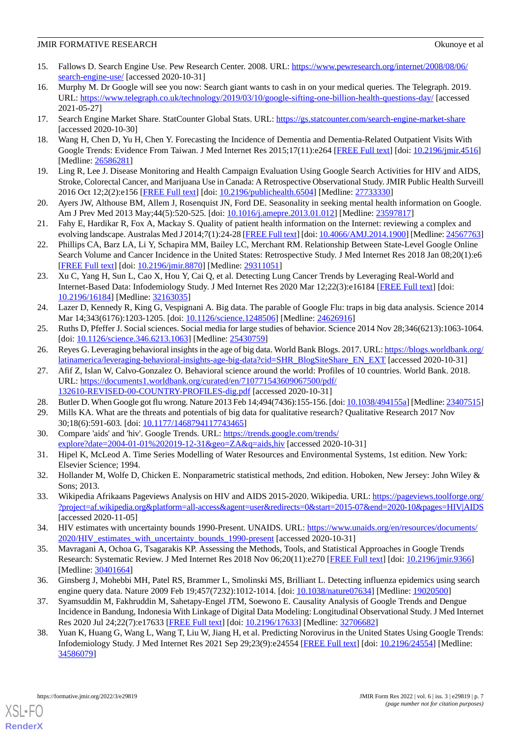- <span id="page-6-0"></span>15. Fallows D. Search Engine Use. Pew Research Center. 2008. URL: [https://www.pewresearch.org/internet/2008/08/06/](https://www.pewresearch.org/internet/2008/08/06/search-engine-use/) [search-engine-use/](https://www.pewresearch.org/internet/2008/08/06/search-engine-use/) [accessed 2020-10-31]
- <span id="page-6-1"></span>16. Murphy M. Dr Google will see you now: Search giant wants to cash in on your medical queries. The Telegraph. 2019. URL: <https://www.telegraph.co.uk/technology/2019/03/10/google-sifting-one-billion-health-questions-day/> [accessed 2021-05-27]
- <span id="page-6-3"></span><span id="page-6-2"></span>17. Search Engine Market Share. StatCounter Global Stats. URL: <https://gs.statcounter.com/search-engine-market-share> [accessed 2020-10-30]
- 18. Wang H, Chen D, Yu H, Chen Y. Forecasting the Incidence of Dementia and Dementia-Related Outpatient Visits With Google Trends: Evidence From Taiwan. J Med Internet Res 2015;17(11):e264 [[FREE Full text](http://www.jmir.org/2015/11/e264/)] [doi: [10.2196/jmir.4516](http://dx.doi.org/10.2196/jmir.4516)] [Medline: [26586281](http://www.ncbi.nlm.nih.gov/entrez/query.fcgi?cmd=Retrieve&db=PubMed&list_uids=26586281&dopt=Abstract)]
- <span id="page-6-21"></span>19. Ling R, Lee J. Disease Monitoring and Health Campaign Evaluation Using Google Search Activities for HIV and AIDS, Stroke, Colorectal Cancer, and Marijuana Use in Canada: A Retrospective Observational Study. JMIR Public Health Surveill 2016 Oct 12;2(2):e156 [\[FREE Full text\]](http://publichealth.jmir.org/2016/2/e156/) [doi: [10.2196/publichealth.6504](http://dx.doi.org/10.2196/publichealth.6504)] [Medline: [27733330](http://www.ncbi.nlm.nih.gov/entrez/query.fcgi?cmd=Retrieve&db=PubMed&list_uids=27733330&dopt=Abstract)]
- 20. Ayers JW, Althouse BM, Allem J, Rosenquist JN, Ford DE. Seasonality in seeking mental health information on Google. Am J Prev Med 2013 May;44(5):520-525. [doi: [10.1016/j.amepre.2013.01.012](http://dx.doi.org/10.1016/j.amepre.2013.01.012)] [Medline: [23597817\]](http://www.ncbi.nlm.nih.gov/entrez/query.fcgi?cmd=Retrieve&db=PubMed&list_uids=23597817&dopt=Abstract)
- <span id="page-6-20"></span>21. Fahy E, Hardikar R, Fox A, Mackay S. Quality of patient health information on the Internet: reviewing a complex and evolving landscape. Australas Med J 2014;7(1):24-28 [[FREE Full text](http://europepmc.org/abstract/MED/24567763)] [doi: [10.4066/AMJ.2014.1900\]](http://dx.doi.org/10.4066/AMJ.2014.1900) [Medline: [24567763](http://www.ncbi.nlm.nih.gov/entrez/query.fcgi?cmd=Retrieve&db=PubMed&list_uids=24567763&dopt=Abstract)]
- <span id="page-6-4"></span>22. Phillips CA, Barz LA, Li Y, Schapira MM, Bailey LC, Merchant RM. Relationship Between State-Level Google Online Search Volume and Cancer Incidence in the United States: Retrospective Study. J Med Internet Res 2018 Jan 08;20(1):e6 [[FREE Full text](http://www.jmir.org/2018/1/e6/)] [doi: [10.2196/jmir.8870](http://dx.doi.org/10.2196/jmir.8870)] [Medline: [29311051](http://www.ncbi.nlm.nih.gov/entrez/query.fcgi?cmd=Retrieve&db=PubMed&list_uids=29311051&dopt=Abstract)]
- <span id="page-6-5"></span>23. Xu C, Yang H, Sun L, Cao X, Hou Y, Cai Q, et al. Detecting Lung Cancer Trends by Leveraging Real-World and Internet-Based Data: Infodemiology Study. J Med Internet Res 2020 Mar 12;22(3):e16184 [\[FREE Full text\]](https://www.jmir.org/2020/3/e16184/) [doi: [10.2196/16184\]](http://dx.doi.org/10.2196/16184) [Medline: [32163035\]](http://www.ncbi.nlm.nih.gov/entrez/query.fcgi?cmd=Retrieve&db=PubMed&list_uids=32163035&dopt=Abstract)
- <span id="page-6-7"></span><span id="page-6-6"></span>24. Lazer D, Kennedy R, King G, Vespignani A. Big data. The parable of Google Flu: traps in big data analysis. Science 2014 Mar 14;343(6176):1203-1205. [doi: [10.1126/science.1248506\]](http://dx.doi.org/10.1126/science.1248506) [Medline: [24626916\]](http://www.ncbi.nlm.nih.gov/entrez/query.fcgi?cmd=Retrieve&db=PubMed&list_uids=24626916&dopt=Abstract)
- <span id="page-6-8"></span>25. Ruths D, Pfeffer J. Social sciences. Social media for large studies of behavior. Science 2014 Nov 28;346(6213):1063-1064. [doi: [10.1126/science.346.6213.1063](http://dx.doi.org/10.1126/science.346.6213.1063)] [Medline: [25430759\]](http://www.ncbi.nlm.nih.gov/entrez/query.fcgi?cmd=Retrieve&db=PubMed&list_uids=25430759&dopt=Abstract)
- 26. Reyes G. Leveraging behavioral insights in the age of big data. World Bank Blogs. 2017. URL: [https://blogs.worldbank.org/](https://blogs.worldbank.org/latinamerica/leveraging-behavioral-insights-age-big-data?cid=SHR_BlogSiteShare_EN_EXT) [latinamerica/leveraging-behavioral-insights-age-big-data?cid=SHR\\_BlogSiteShare\\_EN\\_EXT](https://blogs.worldbank.org/latinamerica/leveraging-behavioral-insights-age-big-data?cid=SHR_BlogSiteShare_EN_EXT) [accessed 2020-10-31]
- <span id="page-6-10"></span><span id="page-6-9"></span>27. Afif Z, Islan W, Calvo-Gonzalez O. Behavioral science around the world: Profiles of 10 countries. World Bank. 2018. URL: [https://documents1.worldbank.org/curated/en/710771543609067500/pdf/](https://documents1.worldbank.org/curated/en/710771543609067500/pdf/132610-REVISED-00-COUNTRY-PROFILES-dig.pdf) [132610-REVISED-00-COUNTRY-PROFILES-dig.pdf](https://documents1.worldbank.org/curated/en/710771543609067500/pdf/132610-REVISED-00-COUNTRY-PROFILES-dig.pdf) [accessed 2020-10-31]
- <span id="page-6-11"></span>28. Butler D. When Google got flu wrong. Nature 2013 Feb 14;494(7436):155-156. [doi: [10.1038/494155a\]](http://dx.doi.org/10.1038/494155a) [Medline: [23407515\]](http://www.ncbi.nlm.nih.gov/entrez/query.fcgi?cmd=Retrieve&db=PubMed&list_uids=23407515&dopt=Abstract)
- <span id="page-6-12"></span>29. Mills KA. What are the threats and potentials of big data for qualitative research? Qualitative Research 2017 Nov 30;18(6):591-603. [doi: [10.1177/1468794117743465\]](http://dx.doi.org/10.1177/1468794117743465)
- <span id="page-6-13"></span>30. Compare 'aids' and 'hiv'. Google Trends. URL: [https://trends.google.com/trends/](https://trends.google.com/trends/explore?date=2004-01-01%202019-12-31&geo=ZA&q=aids,hiv) [explore?date=2004-01-01%202019-12-31&geo=ZA&q=aids,hiv](https://trends.google.com/trends/explore?date=2004-01-01%202019-12-31&geo=ZA&q=aids,hiv) [accessed 2020-10-31]
- <span id="page-6-14"></span>31. Hipel K, McLeod A. Time Series Modelling of Water Resources and Environmental Systems, 1st edition. New York: Elsevier Science; 1994.
- <span id="page-6-15"></span>32. Hollander M, Wolfe D, Chicken E. Nonparametric statistical methods, 2nd edition. Hoboken, New Jersey: John Wiley & Sons; 2013.
- <span id="page-6-16"></span>33. Wikipedia Afrikaans Pageviews Analysis on HIV and AIDS 2015-2020. Wikipedia. URL: [https://pageviews.toolforge.org/](https://pageviews.toolforge.org/?project=af.wikipedia.org&platform=all-access&agent=user&redirects=0&start=2015-07&end=2020-10&pages=HIV|AIDS) [?project=af.wikipedia.org&platform=all-access&agent=user&redirects=0&start=2015-07&end=2020-10&pages=HIV|AIDS](https://pageviews.toolforge.org/?project=af.wikipedia.org&platform=all-access&agent=user&redirects=0&start=2015-07&end=2020-10&pages=HIV|AIDS) [accessed 2020-11-05]
- <span id="page-6-17"></span>34. HIV estimates with uncertainty bounds 1990-Present. UNAIDS. URL: [https://www.unaids.org/en/resources/documents/](https://www.unaids.org/en/resources/documents/2020/HIV_estimates_with_uncertainty_bounds_1990-present) 2020/HIV estimates with uncertainty bounds 1990-present [accessed 2020-10-31]
- <span id="page-6-18"></span>35. Mavragani A, Ochoa G, Tsagarakis KP. Assessing the Methods, Tools, and Statistical Approaches in Google Trends Research: Systematic Review. J Med Internet Res 2018 Nov 06;20(11):e270 [\[FREE Full text\]](https://www.jmir.org/2018/11/e270/) [doi: [10.2196/jmir.9366\]](http://dx.doi.org/10.2196/jmir.9366) [Medline: [30401664](http://www.ncbi.nlm.nih.gov/entrez/query.fcgi?cmd=Retrieve&db=PubMed&list_uids=30401664&dopt=Abstract)]
- <span id="page-6-19"></span>36. Ginsberg J, Mohebbi MH, Patel RS, Brammer L, Smolinski MS, Brilliant L. Detecting influenza epidemics using search engine query data. Nature 2009 Feb 19;457(7232):1012-1014. [doi: [10.1038/nature07634](http://dx.doi.org/10.1038/nature07634)] [Medline: [19020500](http://www.ncbi.nlm.nih.gov/entrez/query.fcgi?cmd=Retrieve&db=PubMed&list_uids=19020500&dopt=Abstract)]
- 37. Syamsuddin M, Fakhruddin M, Sahetapy-Engel JTM, Soewono E. Causality Analysis of Google Trends and Dengue Incidence in Bandung, Indonesia With Linkage of Digital Data Modeling: Longitudinal Observational Study. J Med Internet Res 2020 Jul 24;22(7):e17633 [\[FREE Full text\]](https://www.jmir.org/2020/7/e17633/) [doi: [10.2196/17633](http://dx.doi.org/10.2196/17633)] [Medline: [32706682\]](http://www.ncbi.nlm.nih.gov/entrez/query.fcgi?cmd=Retrieve&db=PubMed&list_uids=32706682&dopt=Abstract)
- 38. Yuan K, Huang G, Wang L, Wang T, Liu W, Jiang H, et al. Predicting Norovirus in the United States Using Google Trends: Infodemiology Study. J Med Internet Res 2021 Sep 29;23(9):e24554 [[FREE Full text](https://www.jmir.org/2021/9/e24554/)] [doi: [10.2196/24554\]](http://dx.doi.org/10.2196/24554) [Medline: [34586079](http://www.ncbi.nlm.nih.gov/entrez/query.fcgi?cmd=Retrieve&db=PubMed&list_uids=34586079&dopt=Abstract)]